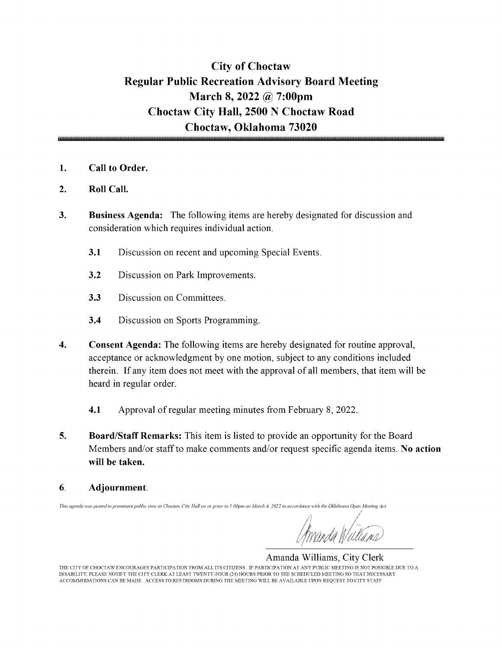## City of Choctaw Regular Public Recreation Advisory Board Meeting March 8, 2022 @ 7:00pm Choctaw City Hall, 2500 N Choctaw Road Choctaw, Oklahoma 73020

- 1. Call to Order.
- 2. Roll Call.
- 3. Business Agenda: The following items are hereby designated for discussion and consideration which requires individual action.
	- 3.1 Discussion on recent and upcoming Special Events.
	- 3.2 Discussion on Park Improvements.
	- 3.3 Discussion on Committees.
	- 3.4 Discussion on Sports Programming.
- 4. Consent Agenda: The following items are hereby designated for routine approval, acceptance or acknowledgment by one motion, subject to any conditions included therein. If any item does not meet with the approval of all members, that item will be heard in regular order.
	- 4.1 Approval of regular meeting minutes from February 8, 2022.
- 5. Board/Staff Remarks: This item is listed to provide an opportunity for the Board Members and/or staff to make comments and/or request specific agenda items. No action will be taken.
- 6. Adjournment.

This agenda was posted in prominent public view at Choctaw City Hall on or prior to 5:00pm on March 4, 2022 in accordance with the Oklahoma Open Meeting Act.

Amanda Williams, City Clerk THE CITY OF CHOCTAW ENCOURAGES PARTICIPATION FROM ALL ITS CITIZENS. IF PARTICIPATION AT ANY PUBLIC MEETING IS NOT POSSIBLE DUE TO A DISABILITY, PLEASE NOTIFY THE CITY CLERK AT LEAST TWENTY-FOUR( 24) HOURS PRIOR TO THE SCHEDULED MEETING SO THAT NECESSARY ACCOMMODATIONS CAN BE MADE. ACCESS TO RESTROOMS DURING THE MEETING WILL BE AVAILABLE UPON REQUEST TO CITY STAFF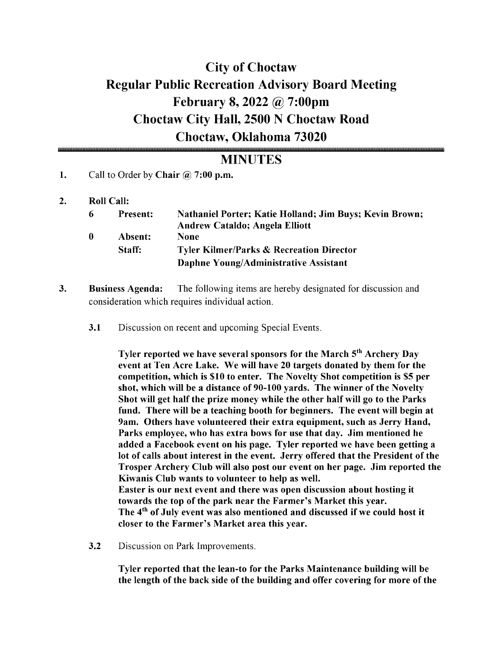# City of Choctaw Regular Public Recreation Advisory Board Meeting February 8, 2022 @ 7: 00pm Choctaw City Hall, 2500 N Choctaw Road Choctaw, Oklahoma 73020

## **MINUTES**

- 1. Call to Order by Chair  $\omega$  7:00 p.m.
- 2. Roll Call:

| -6 | <b>Present:</b> | <b>Nathaniel Porter; Katie Holland; Jim Buys; Kevin Brown;</b> |
|----|-----------------|----------------------------------------------------------------|
|    |                 | <b>Andrew Cataldo; Angela Elliott</b>                          |
| -0 | Absent:         | <b>None</b>                                                    |
|    | Staff:          | <b>Tyler Kilmer/Parks &amp; Recreation Director</b>            |
|    |                 | Daphne Young/Administrative Assistant                          |

- 3. Business Agenda: The following items are hereby designated for discussion and consideration which requires individual action.
	- 3.1 Discussion on recent and upcoming Special Events.

Tyler reported we have several sponsors for the March 5<sup>th</sup> Archery Day event at Ten Acre Lake. We will have 20 targets donated by them for the competition, which is \$10 to enter. The Novelty Shot competition is \$5 per shot, which will be a distance of 90-100 yards. The winner of the Novelty Shot will get half the prize money while the other half will go to the Parks fund. There will be <sup>a</sup> teaching booth for beginners. The event will begin at 9am. Others have volunteered their extra equipment, such as Jerry Hand, Parks employee, who has extra bows for use that day. Jim mentioned he added a Facebook event on his page. Tyler reported we have been getting a lot of calls about interest in the event. Jerry offered that the President of the Trosper Archery Club will also post our event on her page. Jim reported the Kiwanis Club wants to volunteer to help as well. Easter is our next event and there was open discussion about hosting it towards the top of the park near the Farmer's Market this year. The 4<sup>th</sup> of July event was also mentioned and discussed if we could host it closer to the Farmer's Market area this year.

3.2 Discussion on Park Improvements.

Tyler reported that the lean-to for the Parks Maintenance building will be the length of the back side of the building and offer covering for more of the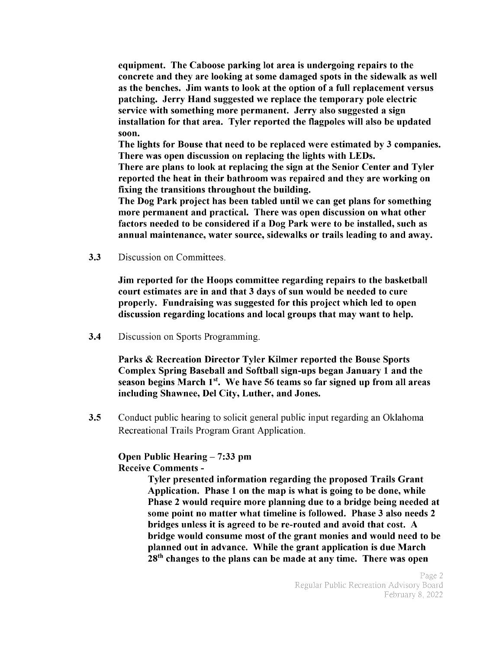equipment. The Caboose parking lot area is undergoing repairs to the concrete and they are looking at some damaged spots in the sidewalk as well as the benches. Jim wants to look at the option of <sup>a</sup> full replacement versus patching. Jerry Hand suggested we replace the temporary pole electric service with something more permanent. Jerry also suggested a sign installation for that area. Tyler reported the flagpoles will also be updated soon.

The lights for Bouse that need to be replaced were estimated by 3 companies. There was open discussion on replacing the lights with LEDs.

There are plans to look at replacing the sign at the Senior Center and Tyler reported the heat in their bathroom was repaired and they are working on fixing the transitions throughout the building.

The Dog Park project has been tabled until we can get plans for something more permanent and practical. There was open discussion on what other factors needed to be considered if <sup>a</sup> Dog Park were to be installed, such as annual maintenance, water source, sidewalks or trails leading to and away.

3.3 Discussion on Committees.

Jim reported for the Hoops committee regarding repairs to the basketball court estimates are in and that 3 days of sun would be needed to cure properly. Fundraising was suggested for this project which led to open discussion regarding locations and local groups that may want to help.

3.4 Discussion on Sports Programming.

Parks & Recreation Director Tyler Kilmer reported the Bouse Sports Complex Spring Baseball and Softball sign- ups began January <sup>1</sup> and the season begins March  $1<sup>st</sup>$ . We have 56 teams so far signed up from all areas including Shawnee, Del City, Luther, and Jones.

**3.5** Conduct public hearing to solicit general public input regarding an Oklahoma Recreational Trails Program Grant Application.

#### Open Public Hearing - 7:33 pm Receive Comments -

Tyler presented information regarding the proposed Trails Grant Application. Phase <sup>1</sup> on the map is what is going to be done, while Phase 2 would require more planning due to a bridge being needed at some point no matter what timeline is followed. Phase <sup>3</sup> also needs <sup>2</sup> bridges unless it is agreed to be re- routed and avoid that cost. A bridge would consume most of the grant monies and would need to be planned out in advance. While the grant application is due March 28<sup>th</sup> changes to the plans can be made at any time. There was open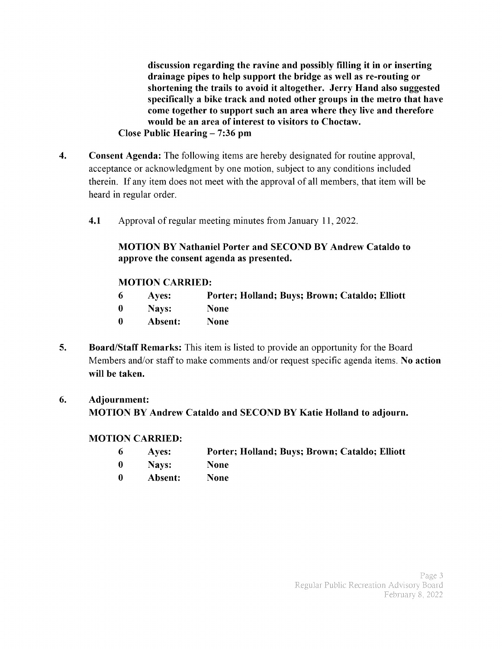discussion regarding the ravine and possibly filling it in or inserting drainage pipes to help support the bridge as well as re-routing or shortening the trails to avoid it altogether. Jerry Hand also suggested specifically a bike track and noted other groups in the metro that have come together to support such an area where they live and therefore would be an area of interest to visitors to Choctaw. Close Public Hearing— 7: 36 pm

- 4. Consent Agenda: The following items are hereby designated for routine approval, acceptance or acknowledgment by one motion, subject to any conditions included therein. If any item does not meet with the approval of all members, that item will be heard in regular order.
	- 4.1 Approval of regular meeting minutes from January 11, 2022.

#### MOTION BY Nathaniel Porter and SECOND BY Andrew Cataldo to approve the consent agenda as presented.

#### MOTION CARRIED:

- <sup>6</sup> Ayes: Porter; Holland; Buys; Brown; Cataldo; Elliott
- 0 Nays: None
- 0 Absent: None
- 5. Board/Staff Remarks: This item is listed to provide an opportunity for the Board Members and/or staff to make comments and/or request specific agenda items. No action will be taken.

### 6. Adjournment: MOTION BY Andrew Cataldo and SECOND BY Katie Holland to adjourn.

#### MOTION CARRIED:

- 6 Ayes: Porter; Holland; Buys; Brown; Cataldo; Elliott
- 0 Nays: None
- <sup>0</sup> Absent: None